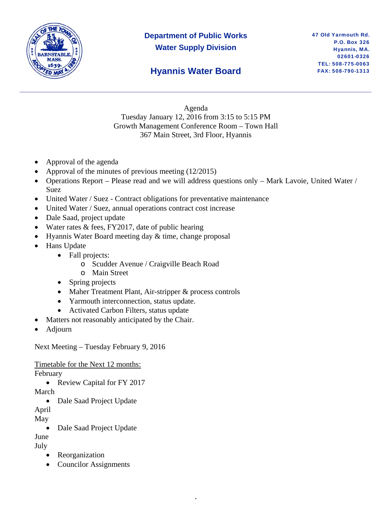

# **Department of Public Works Water Supply Division**

## **Hyannis Water Board**

Agenda Tuesday January 12, 2016 from 3:15 to 5:15 PM Growth Management Conference Room – Town Hall 367 Main Street, 3rd Floor, Hyannis

- Approval of the agenda
- Approval of the minutes of previous meeting (12/2015)
- Operations Report Please read and we will address questions only Mark Lavoie, United Water / Suez

,

- United Water / Suez Contract obligations for preventative maintenance
- United Water / Suez, annual operations contract cost increase
- Dale Saad, project update
- Water rates & fees, FY2017, date of public hearing
- $\bullet$  Hyannis Water Board meeting day  $\&$  time, change proposal
- Hans Update
	- Fall projects:
		- o Scudder Avenue / Craigville Beach Road
		- o Main Street
	- Spring projects
	- Maher Treatment Plant, Air-stripper & process controls
	- Yarmouth interconnection, status update.
	- Activated Carbon Filters, status update
- Matters not reasonably anticipated by the Chair.
- Adjourn

Next Meeting – Tuesday February 9, 2016

Timetable for the Next 12 months:

February

• Review Capital for FY 2017

March

• Dale Saad Project Update

April

May

• Dale Saad Project Update

June

July

- Reorganization
- Councilor Assignments